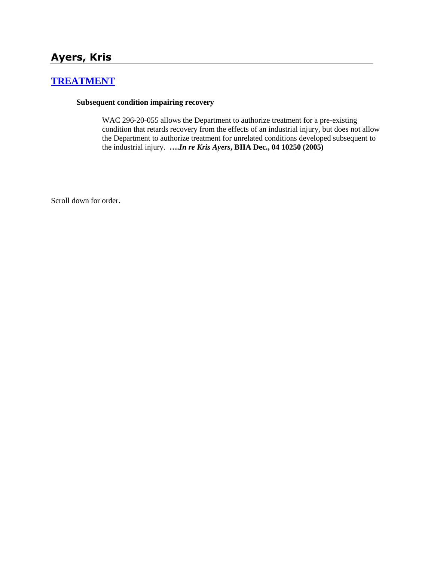# **Ayers, Kris**

# **[TREATMENT](http://www.biia.wa.gov/SDSubjectIndex.html#TREATMENT)**

### **Subsequent condition impairing recovery**

WAC 296-20-055 allows the Department to authorize treatment for a pre-existing condition that retards recovery from the effects of an industrial injury, but does not allow the Department to authorize treatment for unrelated conditions developed subsequent to the industrial injury. **….***In re Kris Ayers***, BIIA Dec., 04 10250 (2005)**

Scroll down for order.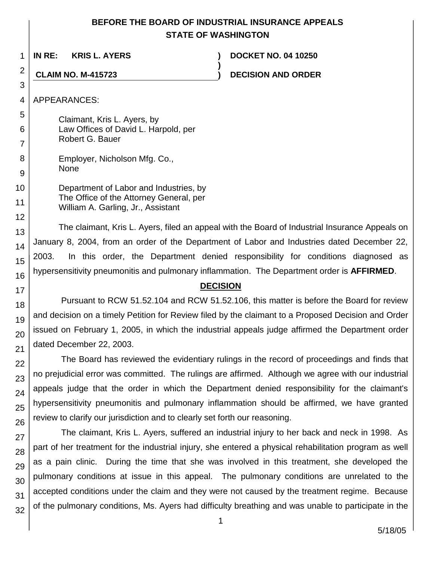# **BEFORE THE BOARD OF INDUSTRIAL INSURANCE APPEALS STATE OF WASHINGTON**

**)**

1 **IN RE: KRIS L. AYERS ) DOCKET NO. 04 10250**

**CLAIM NO. M-415723 ) DECISION AND ORDER**

4 APPEARANCES:

2

3

12

13

14

15

16

17 18

19

20

21

22

23

24

25

26

27

28

29 30

31

5 6 7 Claimant, Kris L. Ayers, by Law Offices of David L. Harpold, per Robert G. Bauer

8 9 Employer, Nicholson Mfg. Co., None

10 11 Department of Labor and Industries, by The Office of the Attorney General, per William A. Garling, Jr., Assistant

The claimant, Kris L. Ayers, filed an appeal with the Board of Industrial Insurance Appeals on January 8, 2004, from an order of the Department of Labor and Industries dated December 22, 2003. In this order, the Department denied responsibility for conditions diagnosed as hypersensitivity pneumonitis and pulmonary inflammation. The Department order is **AFFIRMED**.

### **DECISION**

Pursuant to RCW 51.52.104 and RCW 51.52.106, this matter is before the Board for review and decision on a timely Petition for Review filed by the claimant to a Proposed Decision and Order issued on February 1, 2005, in which the industrial appeals judge affirmed the Department order dated December 22, 2003.

The Board has reviewed the evidentiary rulings in the record of proceedings and finds that no prejudicial error was committed. The rulings are affirmed. Although we agree with our industrial appeals judge that the order in which the Department denied responsibility for the claimant's hypersensitivity pneumonitis and pulmonary inflammation should be affirmed, we have granted review to clarify our jurisdiction and to clearly set forth our reasoning.

32 The claimant, Kris L. Ayers, suffered an industrial injury to her back and neck in 1998. As part of her treatment for the industrial injury, she entered a physical rehabilitation program as well as a pain clinic. During the time that she was involved in this treatment, she developed the pulmonary conditions at issue in this appeal. The pulmonary conditions are unrelated to the accepted conditions under the claim and they were not caused by the treatment regime. Because of the pulmonary conditions, Ms. Ayers had difficulty breathing and was unable to participate in the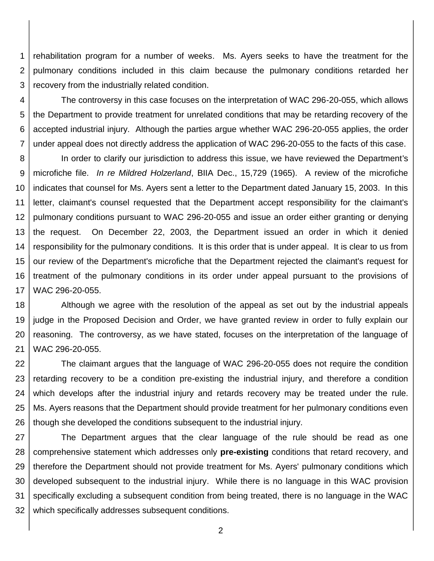1 2 3 rehabilitation program for a number of weeks. Ms. Ayers seeks to have the treatment for the pulmonary conditions included in this claim because the pulmonary conditions retarded her recovery from the industrially related condition.

4 5 6 7 The controversy in this case focuses on the interpretation of WAC 296-20-055, which allows the Department to provide treatment for unrelated conditions that may be retarding recovery of the accepted industrial injury. Although the parties argue whether WAC 296-20-055 applies, the order under appeal does not directly address the application of WAC 296-20-055 to the facts of this case.

8 9 10 11 12 13 14 15 16 17 In order to clarify our jurisdiction to address this issue, we have reviewed the Department's microfiche file. *In re Mildred Holzerland*, BIIA Dec., 15,729 (1965). A review of the microfiche indicates that counsel for Ms. Ayers sent a letter to the Department dated January 15, 2003. In this letter, claimant's counsel requested that the Department accept responsibility for the claimant's pulmonary conditions pursuant to WAC 296-20-055 and issue an order either granting or denying the request. On December 22, 2003, the Department issued an order in which it denied responsibility for the pulmonary conditions. It is this order that is under appeal. It is clear to us from our review of the Department's microfiche that the Department rejected the claimant's request for treatment of the pulmonary conditions in its order under appeal pursuant to the provisions of WAC 296-20-055.

18 19 20 21 Although we agree with the resolution of the appeal as set out by the industrial appeals judge in the Proposed Decision and Order, we have granted review in order to fully explain our reasoning. The controversy, as we have stated, focuses on the interpretation of the language of WAC 296-20-055.

22 23 24 25 26 The claimant argues that the language of WAC 296-20-055 does not require the condition retarding recovery to be a condition pre-existing the industrial injury, and therefore a condition which develops after the industrial injury and retards recovery may be treated under the rule. Ms. Ayers reasons that the Department should provide treatment for her pulmonary conditions even though she developed the conditions subsequent to the industrial injury.

27 28 29 30 31 32 The Department argues that the clear language of the rule should be read as one comprehensive statement which addresses only **pre-existing** conditions that retard recovery, and therefore the Department should not provide treatment for Ms. Ayers' pulmonary conditions which developed subsequent to the industrial injury. While there is no language in this WAC provision specifically excluding a subsequent condition from being treated, there is no language in the WAC which specifically addresses subsequent conditions.

2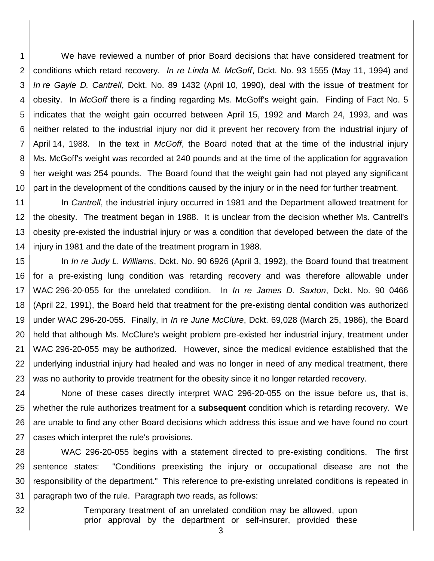1 2 3 4 5 6 7 8 9 10 We have reviewed a number of prior Board decisions that have considered treatment for conditions which retard recovery. *In re Linda M. McGoff*, Dckt. No. 93 1555 (May 11, 1994) and *In re Gayle D. Cantrell*, Dckt. No. 89 1432 (April 10, 1990), deal with the issue of treatment for obesity. In *McGoff* there is a finding regarding Ms. McGoff's weight gain. Finding of Fact No. 5 indicates that the weight gain occurred between April 15, 1992 and March 24, 1993, and was neither related to the industrial injury nor did it prevent her recovery from the industrial injury of April 14, 1988. In the text in *McGoff*, the Board noted that at the time of the industrial injury Ms. McGoff's weight was recorded at 240 pounds and at the time of the application for aggravation her weight was 254 pounds. The Board found that the weight gain had not played any significant part in the development of the conditions caused by the injury or in the need for further treatment.

11 12 13 14 In *Cantrell*, the industrial injury occurred in 1981 and the Department allowed treatment for the obesity. The treatment began in 1988. It is unclear from the decision whether Ms. Cantrell's obesity pre-existed the industrial injury or was a condition that developed between the date of the injury in 1981 and the date of the treatment program in 1988.

15 16 17 18 19 20 21 22 23 In *In re Judy L. Williams*, Dckt. No. 90 6926 (April 3, 1992), the Board found that treatment for a pre-existing lung condition was retarding recovery and was therefore allowable under WAC 296-20-055 for the unrelated condition. In *In re James D. Saxton*, Dckt. No. 90 0466 (April 22, 1991), the Board held that treatment for the pre-existing dental condition was authorized under WAC 296-20-055. Finally, in *In re June McClure*, Dckt. 69,028 (March 25, 1986), the Board held that although Ms. McClure's weight problem pre-existed her industrial injury, treatment under WAC 296-20-055 may be authorized. However, since the medical evidence established that the underlying industrial injury had healed and was no longer in need of any medical treatment, there was no authority to provide treatment for the obesity since it no longer retarded recovery.

24 25 26 27 None of these cases directly interpret WAC 296-20-055 on the issue before us, that is, whether the rule authorizes treatment for a **subsequent** condition which is retarding recovery. We are unable to find any other Board decisions which address this issue and we have found no court cases which interpret the rule's provisions.

28 29 30 31 WAC 296-20-055 begins with a statement directed to pre-existing conditions. The first sentence states: "Conditions preexisting the injury or occupational disease are not the responsibility of the department." This reference to pre-existing unrelated conditions is repeated in paragraph two of the rule. Paragraph two reads, as follows:

> Temporary treatment of an unrelated condition may be allowed, upon prior approval by the department or self-insurer, provided these

32

3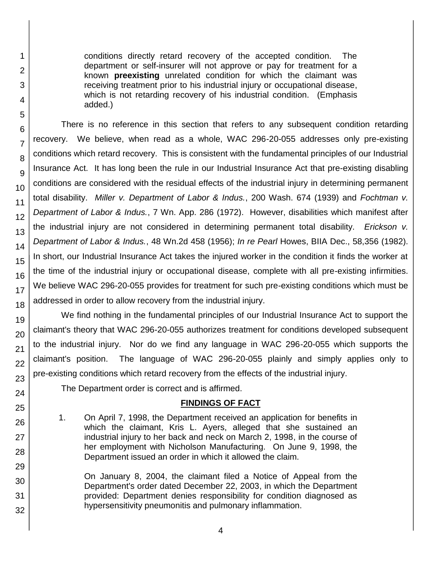conditions directly retard recovery of the accepted condition. The department or self-insurer will not approve or pay for treatment for a known **preexisting** unrelated condition for which the claimant was receiving treatment prior to his industrial injury or occupational disease, which is not retarding recovery of his industrial condition. (Emphasis added.)

There is no reference in this section that refers to any subsequent condition retarding recovery. We believe, when read as a whole, WAC 296-20-055 addresses only pre-existing conditions which retard recovery. This is consistent with the fundamental principles of our Industrial Insurance Act. It has long been the rule in our Industrial Insurance Act that pre-existing disabling conditions are considered with the residual effects of the industrial injury in determining permanent total disability. *Miller v. Department of Labor & Indus.*, 200 Wash. 674 (1939) and *Fochtman v. Department of Labor & Indus.*, 7 Wn. App. 286 (1972). However, disabilities which manifest after the industrial injury are not considered in determining permanent total disability. *Erickson v. Department of Labor & Indus.*, 48 Wn.2d 458 (1956); *In re Pearl* Howes, BIIA Dec., 58,356 (1982). In short, our Industrial Insurance Act takes the injured worker in the condition it finds the worker at the time of the industrial injury or occupational disease, complete with all pre-existing infirmities. We believe WAC 296-20-055 provides for treatment for such pre-existing conditions which must be addressed in order to allow recovery from the industrial injury.

We find nothing in the fundamental principles of our Industrial Insurance Act to support the claimant's theory that WAC 296-20-055 authorizes treatment for conditions developed subsequent to the industrial injury. Nor do we find any language in WAC 296-20-055 which supports the claimant's position. The language of WAC 296-20-055 plainly and simply applies only to pre-existing conditions which retard recovery from the effects of the industrial injury.

The Department order is correct and is affirmed.

# **FINDINGS OF FACT**

1. On April 7, 1998, the Department received an application for benefits in which the claimant, Kris L. Ayers, alleged that she sustained an industrial injury to her back and neck on March 2, 1998, in the course of her employment with Nicholson Manufacturing. On June 9, 1998, the Department issued an order in which it allowed the claim.

On January 8, 2004, the claimant filed a Notice of Appeal from the Department's order dated December 22, 2003, in which the Department provided: Department denies responsibility for condition diagnosed as hypersensitivity pneumonitis and pulmonary inflammation.